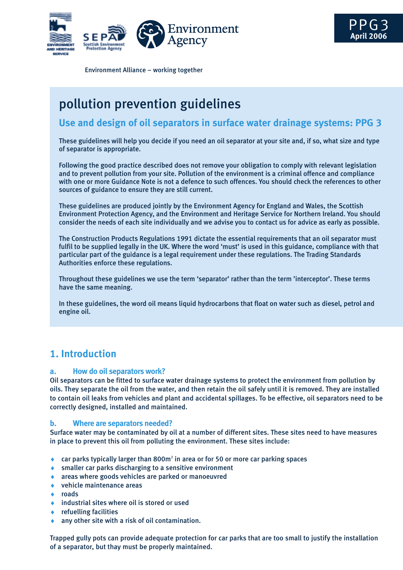

Environment Alliance – working together

# pollution prevention guidelines

### **Use and design of oil separators in surface water drainage systems: PPG 3**

These guidelines will help you decide if you need an oil separator at your site and, if so, what size and type of separator is appropriate.

Following the good practice described does not remove your obligation to comply with relevant legislation and to prevent pollution from your site. Pollution of the environment is a criminal offence and compliance with one or more Guidance Note is not a defence to such offences. You should check the references to other sources of guidance to ensure they are still current.

These guidelines are produced jointly by the Environment Agency for England and Wales, the Scottish Environment Protection Agency, and the Environment and Heritage Service for Northern Ireland. You should consider the needs of each site individually and we advise you to contact us for advice as early as possible.

The Construction Products Regulations 1991 dictate the essential requirements that an oil separator must fulfil to be supplied legally in the UK. Where the word 'must' is used in this guidance, compliance with that particular part of the guidance is a legal requirement under these regulations. The Trading Standards Authorities enforce these regulations.

Throughout these guidelines we use the term 'separator' rather than the term 'interceptor'. These terms have the same meaning.

In these guidelines, the word oil means liquid hydrocarbons that float on water such as diesel, petrol and engine oil.

# **1. Introduction**

#### **a. How do oil separators work?**

Oil separators can be fitted to surface water drainage systems to protect the environment from pollution by oils. They separate the oil from the water, and then retain the oil safely until it is removed. They are installed to contain oil leaks from vehicles and plant and accidental spillages. To be effective, oil separators need to be correctly designed, installed and maintained.

#### **b. Where are separators needed?**

Surface water may be contaminated by oil at a number of different sites. These sites need to have measures in place to prevent this oil from polluting the environment. These sites include:

- $\bullet$  car parks typically larger than 800m<sup>2</sup> in area or for 50 or more car parking spaces
- ♦ smaller car parks discharging to a sensitive environment
- ♦ areas where goods vehicles are parked or manoeuvred
- ♦ vehicle maintenance areas
- ♦ roads
- industrial sites where oil is stored or used
- $\leftarrow$  refuelling facilities
- $\bullet$  any other site with a risk of oil contamination.

Trapped gully pots can provide adequate protection for car parks that are too small to justify the installation of a separator, but thay must be properly maintained.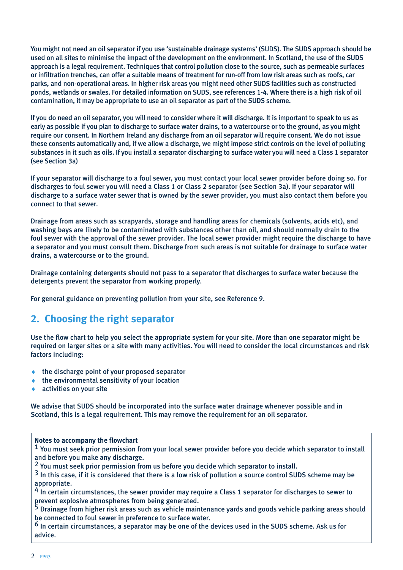You might not need an oil separator if you use 'sustainable drainage systems' (SUDS). The SUDS approach should be used on all sites to minimise the impact of the development on the environment. In Scotland, the use of the SUDS approach is a legal requirement. Techniques that control pollution close to the source, such as permeable surfaces or infiltration trenches, can offer a suitable means of treatment for run-off from low risk areas such as roofs, car parks, and non-operational areas. In higher risk areas you might need other SUDS facilities such as constructed ponds, wetlands or swales. For detailed information on SUDS, see references 1-4. Where there is a high risk of oil contamination, it may be appropriate to use an oil separator as part of the SUDS scheme.

If you do need an oil separator, you will need to consider where it will discharge. It is important to speak to us as early as possible if you plan to discharge to surface water drains, to a watercourse or to the ground, as you might require our consent. In Northern Ireland any discharge from an oil separator will require consent. We do not issue these consents automatically and, if we allow a discharge, we might impose strict controls on the level of polluting substances in it such as oils. If you install a separator discharging to surface water you will need a Class 1 separator (see Section 3a)

If your separator will discharge to a foul sewer, you must contact your local sewer provider before doing so. For discharges to foul sewer you will need a Class 1 or Class 2 separator (see Section 3a). If your separator will discharge to a surface water sewer that is owned by the sewer provider, you must also contact them before you connect to that sewer.

Drainage from areas such as scrapyards, storage and handling areas for chemicals (solvents, acids etc), and washing bays are likely to be contaminated with substances other than oil, and should normally drain to the foul sewer with the approval of the sewer provider. The local sewer provider might require the discharge to have a separator and you must consult them. Discharge from such areas is not suitable for drainage to surface water drains, a watercourse or to the ground.

Drainage containing detergents should not pass to a separator that discharges to surface water because the detergents prevent the separator from working properly.

For general guidance on preventing pollution from your site, see Reference 9.

# **2. Choosing the right separator**

Use the flow chart to help you select the appropriate system for your site. More than one separator might be required on larger sites or a site with many activities. You will need to consider the local circumstances and risk factors including:

- $\bullet$  the discharge point of your proposed separator
- the environmental sensitivity of your location
- activities on your site

We advise that SUDS should be incorporated into the surface water drainage whenever possible and in Scotland, this is a legal requirement. This may remove the requirement for an oil separator.

#### **Notes to accompany the flowchart**

<sup>1</sup> You must seek prior permission from your local sewer provider before you decide which separator to install and before you make any discharge.

<sup>2</sup> You must seek prior permission from us before you decide which separator to install.<br><sup>3</sup> In this case, if it is considered that there is a low risk of pollution a source control SUDS scheme may be appropriate.

<sup>4</sup> In certain circumstances, the sewer provider may require a Class 1 separator for discharges to sewer to prevent explosive atmospheres from being generated.

<sup>5</sup> Drainage from higher risk areas such as vehicle maintenance yards and goods vehicle parking areas should be connected to foul sewer in preference to surface water.

6 In certain circumstances, a separator may be one of the devices used in the SUDS scheme. Ask us for advice.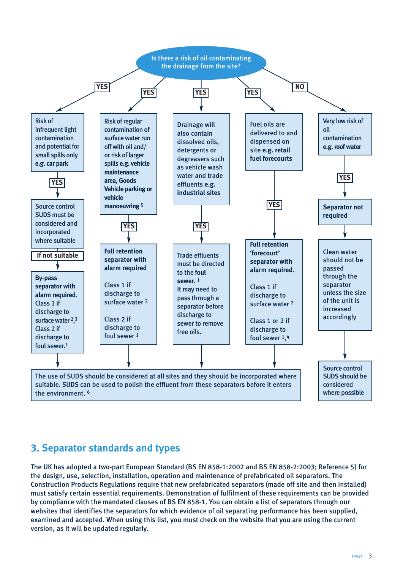

# **3. Separator standards and types**

The UK has adopted a two-part European Standard (BS EN 858-1:2002 and BS EN 858-2:2003; Reference 5) for the design, use, selection, installation, operation and maintenance of prefabricated oil separators. The Construction Products Regulations require that new prefabricated separators (made off site and then installed) must satisfy certain essential requirements. Demonstration of fulfilment of these requirements can be provided by compliance with the mandated clauses of BS EN 858-1. You can obtain a list of separators through our websites that identifies the separators for which evidence of oil separating performance has been supplied, examined and accepted. When using this list, you must check on the website that you are using the current version, as it will be updated regularly.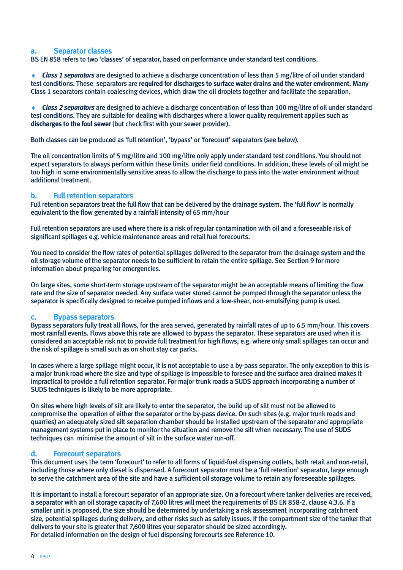#### **a. Separator classes**

BS EN 858 refers to two 'classes' of separator, based on performance under standard test conditions.

*Class 1 separators* are designed to achieve a discharge concentration of less than 5 mg/litre of oil under standard test conditions. These separators are **required for discharges to surface water drains and the water environment.** Many Class 1 separators contain coalescing devices, which draw the oil droplets together and facilitate the separation.

♦ *Class 2 separators* are designed to achieve a discharge concentration of less than 100 mg/litre of oil under standard test conditions. They are suitable for dealing with discharges where a lower quality requirement applies such as **discharges to the foul sewer** (but check first with your sewer provider).

Both classes can be produced as 'full retention', 'bypass' or 'forecourt' separators (see below).

The oil concentration limits of 5 mg/litre and 100 mg/litre only apply under standard test conditions. You should not expect separators to always perform within these limits under field conditions. In addition, these levels of oil might be too high in some environmentally sensitive areas to allow the discharge to pass into the water environment without additional treatment.

#### **b. Full retention separators**

Full retention separators treat the full flow that can be delivered by the drainage system. The 'full flow' is normally equivalent to the flow generated by a rainfall intensity of 65 mm/hour

Full retention separators are used where there is a risk of regular contamination with oil and a foreseeable risk of significant spillages e.g. vehicle maintenance areas and retail fuel forecourts.

You need to consider the flow rates of potential spillages delivered to the separator from the drainage system and the oil storage volume of the separator needs to be sufficient to retain the entire spillage. See Section 9 for more information about preparing for emergencies.

On large sites, some short-term storage upstream of the separator might be an acceptable means of limiting the flow rate and the size of separator needed. Any surface water stored cannot be pumped through the separator unless the separator is specifically designed to receive pumped inflows and a low-shear, non-emulsifying pump is used.

#### **c. Bypass separators**

Bypass separators fully treat all flows, for the area served, generated by rainfall rates of up to 6.5 mm/hour. This covers most rainfall events. Flows above this rate are allowed to bypass the separator. These separators are used when it is considered an acceptable risk not to provide full treatment for high flows, e.g. where only small spillages can occur and the risk of spillage is small such as on short stay car parks.

In cases where a large spillage might occur, it is not acceptable to use a by-pass separator. The only exception to this is a major trunk road where the size and type of spillage is impossible to foresee and the surface area drained makes it impractical to provide a full retention separator. For major trunk roads a SUDS approach incorporating a number of SUDS techniques is likely to be more appropriate.

On sites where high levels of silt are likely to enter the separator, the build up of silt must not be allowed to compromise the operation of either the separator or the by-pass device. On such sites (e.g. major trunk roads and quarries) an adequately sized silt separation chamber should be installed upstream of the separator and appropriate management systems put in place to monitor the situation and remove the silt when necessary. The use of SUDS techniques can minimise the amount of silt in the surface water run-off.

#### **d. Forecourt separators**

This document uses the term 'forecourt' to refer to all forms of liquid-fuel dispensing outlets, both retail and non-retail, including those where only diesel is dispensed. A forecourt separator must be a 'full retention' separator, large enough to serve the catchment area of the site and have a sufficient oil storage volume to retain any foreseeable spillages.

It is important to install a forecourt separator of an appropriate size. On a forecourt where tanker deliveries are received, a separator with an oil storage capacity of 7,600 litres will meet the requirements of BS EN 858-2, clause 4.3.6. If a smaller unit is proposed, the size should be determined by undertaking a risk assessment incorporating catchment size, potential spillages during delivery, and other risks such as safety issues. If the compartment size of the tanker that delivers to your site is greater that 7,600 litres your separator should be sized accordingly. For detailed information on the design of fuel dispensing forecourts see Reference 10.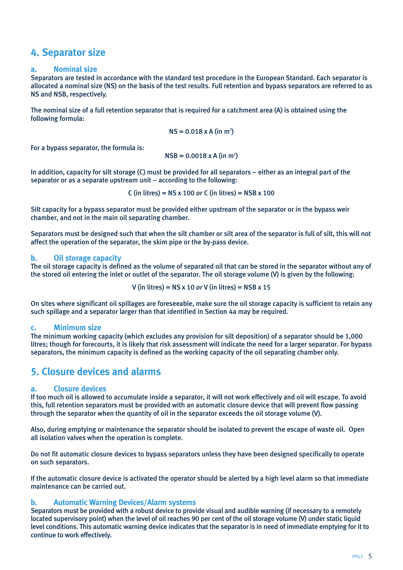# **4. Separator size**

#### **a. Nominal size**

Separators are tested in accordance with the standard test procedure in the European Standard. Each separator is allocated a nominal size (NS) on the basis of the test results. Full retention and bypass separators are referred to as NS and NSB, respectively.

The nominal size of a full retention separator that is required for a catchment area (A) is obtained using the following formula:

$$
NS = 0.018 \times A \text{ (in m}^2\text{)}
$$

For a bypass separator, the formula is:

 $NSB = 0.0018 \times A (in m<sup>2</sup>)$ 

In addition, capacity for silt storage (C) must be provided for all separators – either as an integral part of the separator or as a separate upstream unit – according to the following:

C (in litres) = NS x 100 *or* C (in litres) = NSB x 100

Silt capacity for a bypass separator must be provided either upstream of the separator or in the bypass weir chamber, and not in the main oil separating chamber.

Separators must be designed such that when the silt chamber or silt area of the separator is full of silt, this will not affect the operation of the separator, the skim pipe or the by-pass device.

#### **b. Oil storage capacity**

The oil storage capacity is defined as the volume of separated oil that can be stored in the separator without any of the stored oil entering the inlet or outlet of the separator. The oil storage volume (V) is given by the following:

V (in litres) = 
$$
NS \times 10
$$
 or V (in litres) =  $NSB \times 15$ 

On sites where significant oil spillages are foreseeable, make sure the oil storage capacity is sufficient to retain any such spillage and a separator larger than that identified in Section 4a may be required.

#### **c. Minimum size**

The minimum working capacity (which excludes any provision for silt deposition) of a separator should be 1,000 litres; though for forecourts, it is likely that risk assessment will indicate the need for a larger separator. For bypass separators, the minimum capacity is defined as the working capacity of the oil separating chamber only.

### **5. Closure devices and alarms**

#### **a. Closure devices**

If too much oil is allowed to accumulate inside a separator, it will not work effectively and oil will escape. To avoid this, full retention separators must be provided with an automatic closure device that will prevent flow passing through the separator when the quantity of oil in the separator exceeds the oil storage volume (V).

Also, during emptying or maintenance the separator should be isolated to prevent the escape of waste oil. Open all isolation valves when the operation is complete.

Do not fit automatic closure devices to bypass separators unless they have been designed specifically to operate on such separators.

If the automatic closure device is activated the operator should be alerted by a high level alarm so that immediate maintenance can be carried out.

#### **b. Automatic Warning Devices/Alarm systems**

Separators must be provided with a robust device to provide visual and audible warning (if necessary to a remotely located supervisory point) when the level of oil reaches 90 per cent of the oil storage volume (V) under static liquid level conditions. This automatic warning device indicates that the separator is in need of immediate emptying for it to continue to work effectively.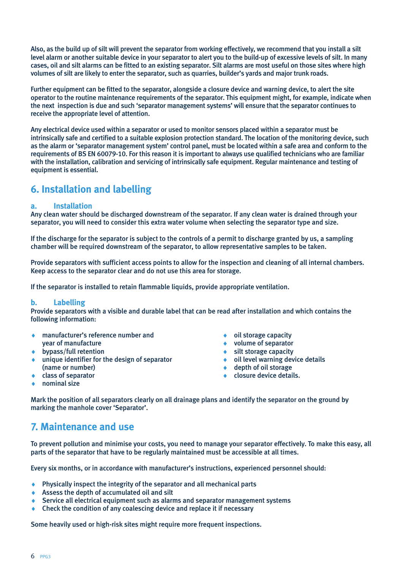Also, as the build up of silt will prevent the separator from working effectively, we recommend that you install a silt level alarm or another suitable device in your separator to alert you to the build-up of excessive levels of silt. In many cases, oil and silt alarms can be fitted to an existing separator. Silt alarms are most useful on those sites where high volumes of silt are likely to enter the separator, such as quarries, builder's yards and major trunk roads.

Further equipment can be fitted to the separator, alongside a closure device and warning device, to alert the site operator to the routine maintenance requirements of the separator. This equipment might, for example, indicate when the next inspection is due and such 'separator management systems' will ensure that the separator continues to receive the appropriate level of attention.

Any electrical device used within a separator or used to monitor sensors placed within a separator must be intrinsically safe and certified to a suitable explosion protection standard. The location of the monitoring device, such as the alarm or 'separator management system' control panel, must be located within a safe area and conform to the requirements of BS EN 60079-10. For this reason it is important to always use qualified technicians who are familiar with the installation, calibration and servicing of intrinsically safe equipment. Regular maintenance and testing of equipment is essential.

# **6. Installation and labelling**

#### **a. Installation**

Any clean water should be discharged downstream of the separator. If any clean water is drained through your separator, you will need to consider this extra water volume when selecting the separator type and size.

If the discharge for the separator is subject to the controls of a permit to discharge granted by us, a sampling chamber will be required downstream of the separator, to allow representative samples to be taken.

Provide separators with sufficient access points to allow for the inspection and cleaning of all internal chambers. Keep access to the separator clear and do not use this area for storage.

If the separator is installed to retain flammable liquids, provide appropriate ventilation.

#### **b. Labelling**

Provide separators with a visible and durable label that can be read after installation and which contains the following information:

- ♦ manufacturer's reference number and ♦ oil storage capacity vear of manufacture  $\bullet$  volume of separator
- 
- ♦ bypass/full retention ♦ silt storage capacity unique identifier for the design of separator (name or number)
- 
- 
- 
- $\triangle$  depth of oil storage
- $\bullet$  class of separator  $\bullet$   $\bullet$  closure device details.
- nominal size

Mark the position of all separators clearly on all drainage plans and identify the separator on the ground by marking the manhole cover 'Separator'.

### **7. Maintenance and use**

To prevent pollution and minimise your costs, you need to manage your separator effectively. To make this easy, all parts of the separator that have to be regularly maintained must be accessible at all times.

Every six months, or in accordance with manufacturer's instructions, experienced personnel should:

- Physically inspect the integrity of the separator and all mechanical parts
- ♦ Assess the depth of accumulated oil and silt
- Service all electrical equipment such as alarms and separator management systems
- Check the condition of any coalescing device and replace it if necessary

Some heavily used or high-risk sites might require more frequent inspections.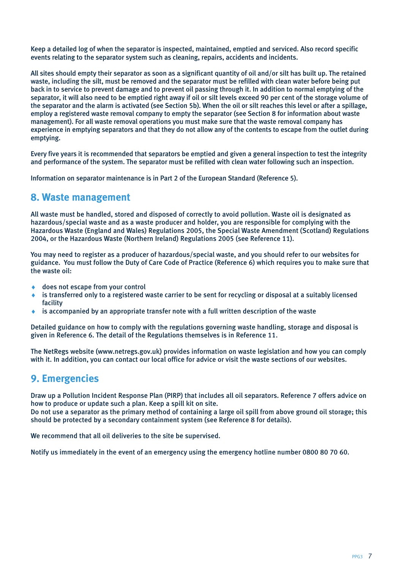Keep a detailed log of when the separator is inspected, maintained, emptied and serviced. Also record specific events relating to the separator system such as cleaning, repairs, accidents and incidents.

All sites should empty their separator as soon as a significant quantity of oil and/or silt has built up. The retained waste, including the silt, must be removed and the separator must be refilled with clean water before being put back in to service to prevent damage and to prevent oil passing through it. In addition to normal emptying of the separator, it will also need to be emptied right away if oil or silt levels exceed 90 per cent of the storage volume of the separator and the alarm is activated (see Section 5b). When the oil or silt reaches this level or after a spillage, employ a registered waste removal company to empty the separator (see Section 8 for information about waste management). For all waste removal operations you must make sure that the waste removal company has experience in emptying separators and that they do not allow any of the contents to escape from the outlet during emptying.

Every five years it is recommended that separators be emptied and given a general inspection to test the integrity and performance of the system. The separator must be refilled with clean water following such an inspection.

Information on separator maintenance is in Part 2 of the European Standard (Reference 5).

### **8. Waste management**

All waste must be handled, stored and disposed of correctly to avoid pollution. Waste oil is designated as hazardous/special waste and as a waste producer and holder, you are responsible for complying with the Hazardous Waste (England and Wales) Regulations 2005, the Special Waste Amendment (Scotland) Regulations 2004, or the Hazardous Waste (Northern Ireland) Regulations 2005 (see Reference 11).

You may need to register as a producer of hazardous/special waste, and you should refer to our websites for guidance. You must follow the Duty of Care Code of Practice (Reference 6) which requires you to make sure that the waste oil:

- does not escape from your control
- is transferred only to a registered waste carrier to be sent for recycling or disposal at a suitably licensed facility
- is accompanied by an appropriate transfer note with a full written description of the waste

Detailed guidance on how to comply with the regulations governing waste handling, storage and disposal is given in Reference 6. The detail of the Regulations themselves is in Reference 11.

The NetRegs website (www.netregs.gov.uk) provides information on waste legislation and how you can comply with it. In addition, you can contact our local office for advice or visit the waste sections of our websites.

# **9. Emergencies**

Draw up a Pollution Incident Response Plan (PIRP) that includes all oil separators. Reference 7 offers advice on how to produce or update such a plan. Keep a spill kit on site.

Do not use a separator as the primary method of containing a large oil spill from above ground oil storage; this should be protected by a secondary containment system (see Reference 8 for details).

We recommend that all oil deliveries to the site be supervised.

Notify us immediately in the event of an emergency using the emergency hotline number 0800 80 70 60.